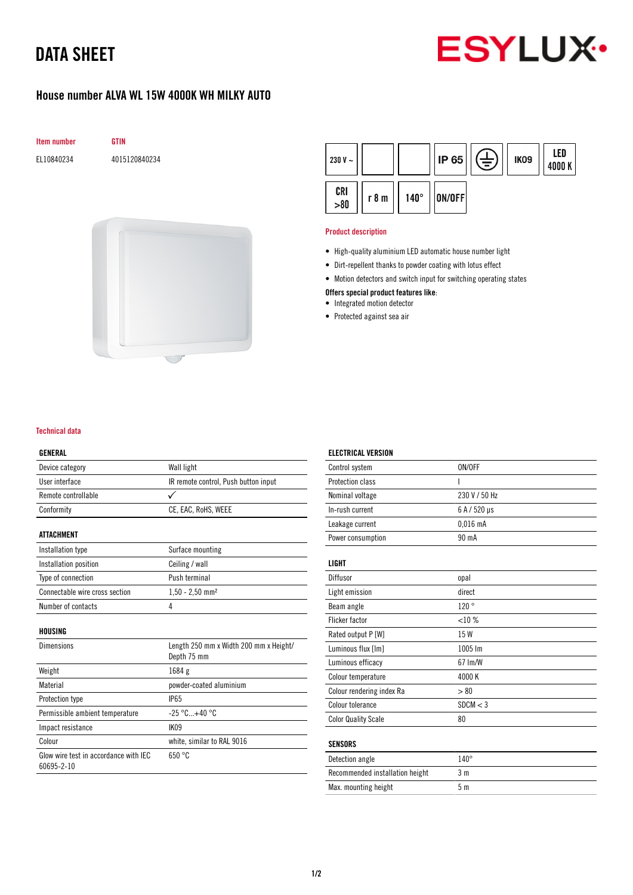# DATA SHEET



### House number ALVA WL 15W 4000K WH MILKY AUTO







#### Product description

- High-quality aluminium LED automatic house number light
- Dirt-repellent thanks to powder coating with lotus effect
- Motion detectors and switch input for switching operating states

#### Offers special product features like:

- Integrated motion detector
- Protected against sea air

#### Technical data

#### GENERAL

| Device category                                     | Wall light                                            |
|-----------------------------------------------------|-------------------------------------------------------|
| User interface                                      | IR remote control, Push button input                  |
| Remote controllable                                 | ✓                                                     |
| Conformity                                          | CE, EAC, RoHS, WEEE                                   |
| ATTACHMENT                                          |                                                       |
|                                                     |                                                       |
| Installation type                                   | Surface mounting                                      |
| Installation position                               | Ceiling / wall                                        |
| Type of connection                                  | Push terminal                                         |
| Connectable wire cross section                      | $1,50 - 2,50$ mm <sup>2</sup>                         |
| Number of contacts                                  | 4                                                     |
| HOUSING                                             |                                                       |
| Dimensions                                          | Length 250 mm x Width 200 mm x Height/<br>Depth 75 mm |
| Weight                                              | 1684 g                                                |
| Material                                            | powder-coated aluminium                               |
| <b>Protection type</b>                              | <b>IP65</b>                                           |
| Permissible ambient temperature                     | $-25 °C+40 °C$                                        |
| Impact resistance                                   | IK09                                                  |
| Colour                                              | white, similar to RAL 9016                            |
| Glow wire test in accordance with IEC<br>60695-2-10 | 650 °C                                                |

# ELECTRICAL VERSION

| Control system             | ON/OFF        |
|----------------------------|---------------|
| Protection class           | T             |
| Nominal voltage            | 230 V / 50 Hz |
| In-rush current            | 6 A / 520 µs  |
| Leakage current            | $0,016$ mA    |
| Power consumption          | 90 mA         |
| LIGHT                      |               |
| Diffusor                   | opal          |
| Light emission             | direct        |
| Beam angle                 | 120°          |
| <b>Flicker factor</b>      | <10%          |
| Rated output P [W]         | 15 W          |
| Luminous flux [lm]         | 1005 lm       |
| Luminous efficacy          | 67 Im/W       |
| Colour temperature         | 4000K         |
| Colour rendering index Ra  | > 80          |
| Colour tolerance           | SDCM < 3      |
| <b>Color Quality Scale</b> | 80            |
| <b>SENSORS</b>             |               |
| Detection angle            | $140^\circ$   |

Recommended installation height 3 m Max. mounting height 5 m